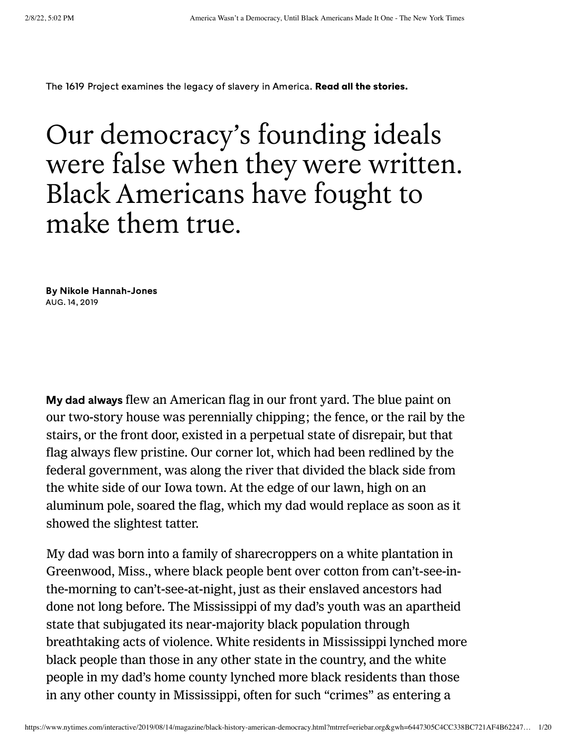The 1619 Project [examines](https://www.nytimes.com/interactive/2019/08/14/magazine/1619-america-slavery.html) the legacy of slavery in America. Read all the stories.

## Our democracy's founding ideals were false when they were written. Black Americans have fought to make them true.

By Nikole Hannah-Jones AUG. 14, 2019

My dad always flew an American flag in our front yard. The blue paint on our two-story house was perennially chipping; the fence, or the rail by the stairs, or the front door, existed in a perpetual state of disrepair, but that flag always flew pristine. Our corner lot, which had been redlined by the federal government, was along the river that divided the black side from the white side of our Iowa town. At the edge of our lawn, high on an aluminum pole, soared the flag, which my dad would replace as soon as it showed the slightest tatter.

My dad was born into a family of sharecroppers on a white plantation in Greenwood, Miss., where black people bent over cotton from can't-see-inthe-morning to can't-see-at-night, just as their enslaved ancestors had done not long before. The Mississippi of my dad's youth was an apartheid state that subjugated its near-majority black population through breathtaking acts of violence. White residents in Mississippi lynched more black people than those in any other state in the country, and the white people in my dad's home county lynched more black residents than those in any other county in Mississippi, often for such "crimes" as entering a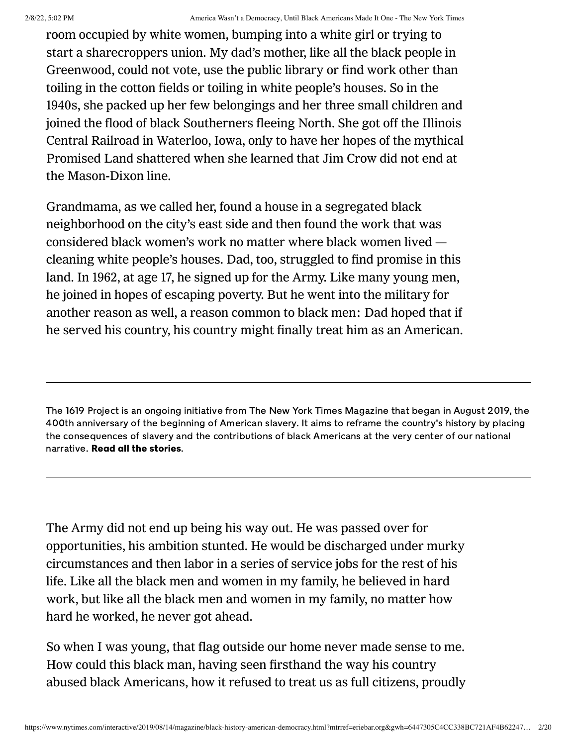1940s, she packed up her few belongings and her three small children and room occupied by white women, bumping into a white girl or trying to start a sharecroppers union. My dad's mother, like all the black people in Greenwood, could not vote, use the public library or find work other than toiling in the cotton fields or toiling in white people's houses. So in the joined the flood of black Southerners fleeing North. She got off the Illinois Central Railroad in Waterloo, Iowa, only to have her hopes of the mythical Promised Land shattered when she learned that Jim Crow did not end at the Mason-Dixon line.

Grandmama, as we called her, found a house in a segregated black neighborhood on the city's east side and then found the work that was considered black women's work no matter where black women lived cleaning white people's houses. Dad, too, struggled to find promise in this land. In 1962, at age 17, he signed up for the Army. Like many young men, he joined in hopes of escaping poverty. But he went into the military for another reason as well, a reason common to black men: Dad hoped that if he served his country, his country might finally treat him as an American.

The 1619 Project is an ongoing initiative from The New York Times Magazine that began in August 2019, the 400th anniversary of the beginning of American slavery. It aims to reframe the country's history by placing the [consequences](https://www.nytimes.com/interactive/2019/08/14/magazine/1619-america-slavery.html) of slavery and the contributions of black Americans at the very center of our national narrative. Read all the stories.

The Army did not end up being his way out. He was passed over for opportunities, his ambition stunted. He would be discharged under murky circumstances and then labor in a series of service jobs for the rest of his life. Like all the black men and women in my family, he believed in hard work, but like all the black men and women in my family, no matter how hard he worked, he never got ahead.

So when I was young, that flag outside our home never made sense to me. How could this black man, having seen firsthand the way his country abused black Americans, how it refused to treat us as full citizens, proudly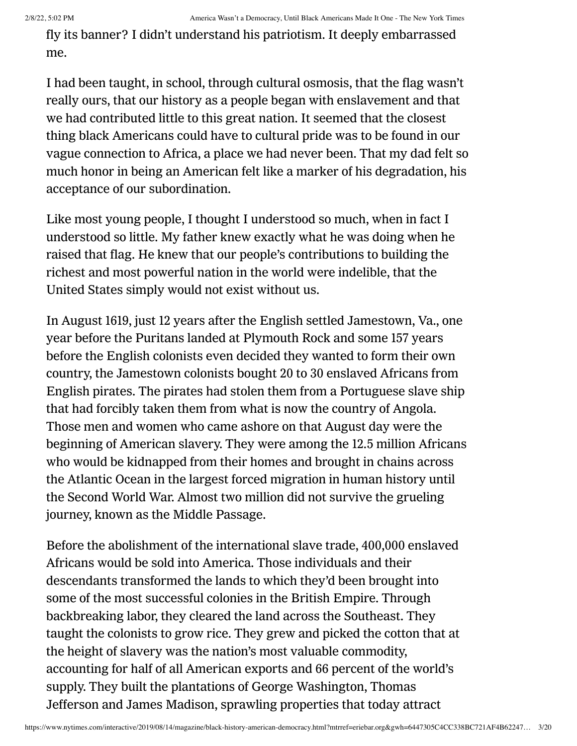fly its banner? I didn't understand his patriotism. It deeply embarrassed me.

really ours, that our history as a people began with enslavement and that I had been taught, in school, through cultural osmosis, that the flag wasn't we had contributed little to this great nation. It seemed that the closest thing black Americans could have to cultural pride was to be found in our vague connection to Africa, a place we had never been. That my dad felt so much honor in being an American felt like a marker of his degradation, his acceptance of our subordination.

Like most young people, I thought I understood so much, when in fact I understood so little. My father knew exactly what he was doing when he raised that flag. He knew that our people's contributions to building the richest and most powerful nation in the world were indelible, that the United States simply would not exist without us.

In August 1619, just 12 years after the English settled Jamestown, Va., one year before the Puritans landed at Plymouth Rock and some 157 years before the English colonists even decided they wanted to form their own country, the Jamestown colonists bought 20 to 30 enslaved Africans from English pirates. The pirates had stolen them from a Portuguese slave ship that had forcibly taken them from what is now the country of Angola. Those men and women who came ashore on that August day were the beginning of American slavery. They were among the 12.5 million Africans who would be kidnapped from their homes and brought in chains across the Atlantic Ocean in the largest forced migration in human history until the Second World War. Almost two million did not survive the grueling journey, known as the Middle Passage.

Before the abolishment of the international slave trade, 400,000 enslaved Africans would be sold into America. Those individuals and their descendants transformed the lands to which they'd been brought into some of the most successful colonies in the British Empire. Through backbreaking labor, they cleared the land across the Southeast. They taught the colonists to grow rice. They grew and picked the cotton that at the height of slavery was the nation's most valuable commodity, accounting for half of all American exports and 66 percent of the world's supply. They built the plantations of George Washington, Thomas Jefferson and James Madison, sprawling properties that today attract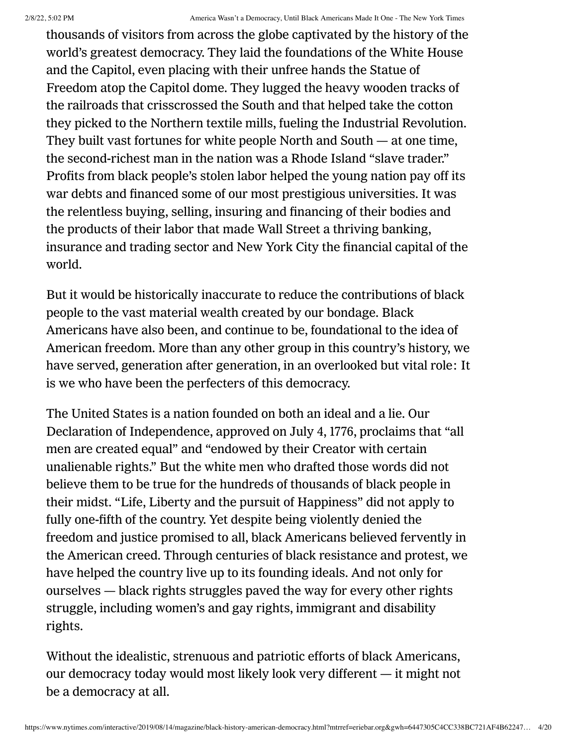the railroads that crisscrossed the South and that helped take the cotton thousands of visitors from across the globe captivated by the history of the world's greatest democracy. They laid the foundations of the White House and the Capitol, even placing with their unfree hands the Statue of Freedom atop the Capitol dome. They lugged the heavy wooden tracks of they picked to the Northern textile mills, fueling the Industrial Revolution. They built vast fortunes for white people North and South — at one time, the second-richest man in the nation was a Rhode Island "slave trader." Profits from black people's stolen labor helped the young nation pay off its war debts and financed some of our most prestigious universities. It was the relentless buying, selling, insuring and financing of their bodies and the products of their labor that made Wall Street a thriving banking, insurance and trading sector and New York City the financial capital of the world.

But it would be historically inaccurate to reduce the contributions of black people to the vast material wealth created by our bondage. Black Americans have also been, and continue to be, foundational to the idea of American freedom. More than any other group in this country's history, we have served, generation after generation, in an overlooked but vital role: It is we who have been the perfecters of this democracy.

The United States is a nation founded on both an ideal and a lie. Our Declaration of Independence, approved on July 4, 1776, proclaims that "all men are created equal" and "endowed by their Creator with certain unalienable rights." But the white men who drafted those words did not believe them to be true for the hundreds of thousands of black people in their midst. "Life, Liberty and the pursuit of Happiness" did not apply to fully one-fifth of the country. Yet despite being violently denied the freedom and justice promised to all, black Americans believed fervently in the American creed. Through centuries of black resistance and protest, we have helped the country live up to its founding ideals. And not only for ourselves — black rights struggles paved the way for every other rights struggle, including women's and gay rights, immigrant and disability rights.

Without the idealistic, strenuous and patriotic efforts of black Americans, our democracy today would most likely look very different — it might not be a democracy at all.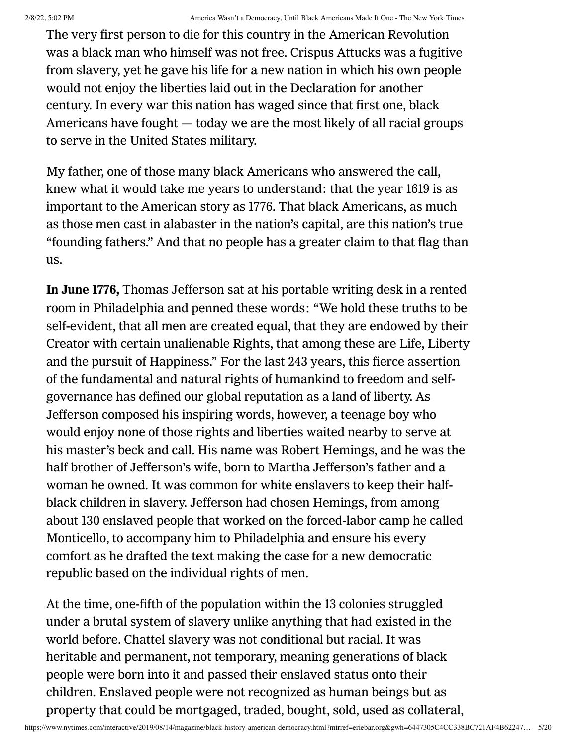2/8/22, 5:02 PM America Wasn't a Democracy, Until Black Americans Made It One - The New York Times

century. In every war this nation has waged since that first one, black The very first person to die for this country in the American Revolution was a black man who himself was not free. Crispus Attucks was a fugitive from slavery, yet he gave his life for a new nation in which his own people would not enjoy the liberties laid out in the Declaration for another Americans have fought — today we are the most likely of all racial groups to serve in the United States military.

My father, one of those many black Americans who answered the call, knew what it would take me years to understand: that the year 1619 is as important to the American story as 1776. That black Americans, as much as those men cast in alabaster in the nation's capital, are this nation's true "founding fathers." And that no people has a greater claim to that flag than us.

In June 1776, Thomas Jefferson sat at his portable writing desk in a rented room in Philadelphia and penned these words: "We hold these truths to be self-evident, that all men are created equal, that they are endowed by their Creator with certain unalienable Rights, that among these are Life, Liberty and the pursuit of Happiness." For the last 243 years, this fierce assertion of the fundamental and natural rights of humankind to freedom and selfgovernance has defined our global reputation as a land of liberty. As Jefferson composed his inspiring words, however, a teenage boy who would enjoy none of those rights and liberties waited nearby to serve at his master's beck and call. His name was Robert Hemings, and he was the half brother of Jefferson's wife, born to Martha Jefferson's father and a woman he owned. It was common for white enslavers to keep their halfblack children in slavery. Jefferson had chosen Hemings, from among about 130 enslaved people that worked on the forced-labor camp he called Monticello, to accompany him to Philadelphia and ensure his every comfort as he drafted the text making the case for a new democratic republic based on the individual rights of men.

At the time, one-fifth of the population within the 13 colonies struggled under a brutal system of slavery unlike anything that had existed in the world before. Chattel slavery was not conditional but racial. It was heritable and permanent, not temporary, meaning generations of black people were born into it and passed their enslaved status onto their children. Enslaved people were not recognized as human beings but as property that could be mortgaged, traded, bought, sold, used as collateral,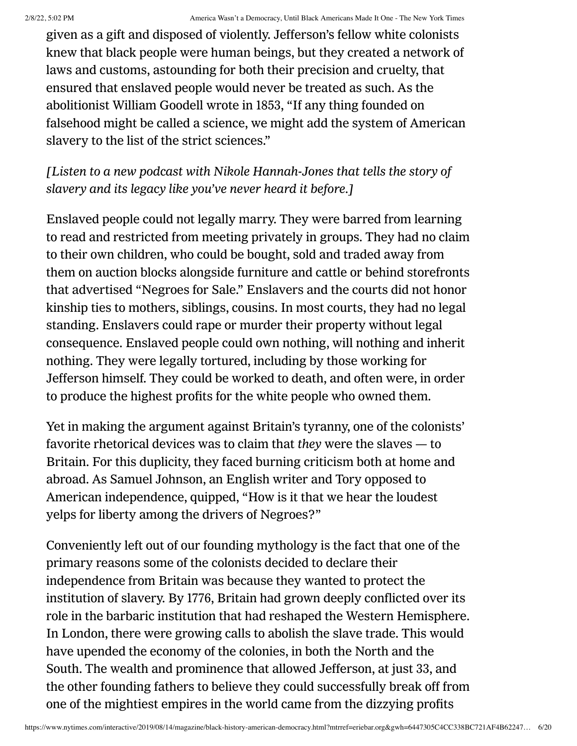2/8/22, 5:02 PM America Wasn't a Democracy, Until Black Americans Made It One - The New York Times

abolitionist William Goodell wrote in 1853, "If any thing founded on given as a gift and disposed of violently. Jefferson's fellow white colonists knew that black people were human beings, but they created a network of laws and customs, astounding for both their precision and cruelty, that ensured that enslaved people would never be treated as such. As the falsehood might be called a science, we might add the system of American slavery to the list of the strict sciences."

[\[Listen to a new podcast with Nik](https://www.nytimes.com/2019/08/23/podcasts/1619-slavery-anniversary.html)ole Hannah-Jones that tells the story of slavery and its legacy like you've never heard it before[.\]](https://www.nytimes.com/2019/08/23/podcasts/1619-slavery-anniversary.html)

Enslaved people could not legally marry. They were barred from learning to read and restricted from meeting privately in groups. They had no claim to their own children, who could be bought, sold and traded away from them on auction blocks alongside furniture and cattle or behind storefronts that advertised "Negroes for Sale." Enslavers and the courts did not honor kinship ties to mothers, siblings, cousins. In most courts, they had no legal standing. Enslavers could rape or murder their property without legal consequence. Enslaved people could own nothing, will nothing and inherit nothing. They were legally tortured, including by those working for Jefferson himself. They could be worked to death, and often were, in order to produce the highest profits for the white people who owned them.

Yet in making the argument against Britain's tyranny, one of the colonists' favorite rhetorical devices was to claim that *they* were the slaves — to Britain. For this duplicity, they faced burning criticism both at home and abroad. As Samuel Johnson, an English writer and Tory opposed to American independence, quipped, "How is it that we hear the loudest yelps for liberty among the drivers of Negroes?"

Conveniently left out of our founding mythology is the fact that one of the primary reasons some of the colonists decided to declare their independence from Britain was because they wanted to protect the institution of slavery. By 1776, Britain had grown deeply conflicted over its role in the barbaric institution that had reshaped the Western Hemisphere. In London, there were growing calls to abolish the slave trade. This would have upended the economy of the colonies, in both the North and the South. The wealth and prominence that allowed Jefferson, at just 33, and the other founding fathers to believe they could successfully break off from one of the mightiest empires in the world came from the dizzying profits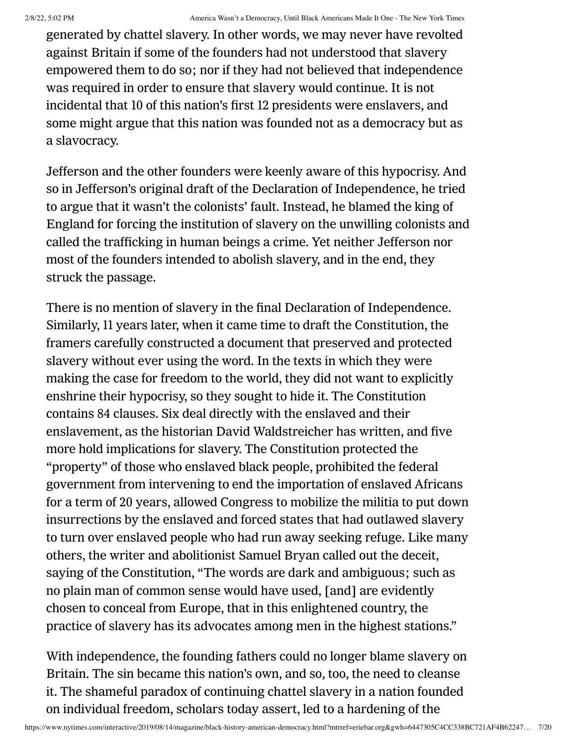incidental that 10 of this nation's first 12 presidents were enslavers, and generated by chattel slavery. In other words, we may never have revolted against Britain if some of the founders had not understood that slavery empowered them to do so; nor if they had not believed that independence was required in order to ensure that slavery would continue. It is not some might argue that this nation was founded not as a democracy but as a slavocracy.

Jefferson and the other founders were keenly aware of this hypocrisy. And so in Jefferson's original draft of the Declaration of Independence, he tried to argue that it wasn't the colonists' fault. Instead, he blamed the king of England for forcing the institution of slavery on the unwilling colonists and called the trafficking in human beings a crime. Yet neither Jefferson nor most of the founders intended to abolish slavery, and in the end, they struck the passage.

There is no mention of slavery in the final Declaration of Independence. Similarly, 11 years later, when it came time to draft the Constitution, the framers carefully constructed a document that preserved and protected slavery without ever using the word. In the texts in which they were making the case for freedom to the world, they did not want to explicitly enshrine their hypocrisy, so they sought to hide it. The Constitution contains 84 clauses. Six deal directly with the enslaved and their enslavement, as the historian David Waldstreicher has written, and five more hold implications for slavery. The Constitution protected the "property" of those who enslaved black people, prohibited the federal government from intervening to end the importation of enslaved Africans for a term of 20 years, allowed Congress to mobilize the militia to put down insurrections by the enslaved and forced states that had outlawed slavery to turn over enslaved people who had run away seeking refuge. Like many others, the writer and abolitionist Samuel Bryan called out the deceit, saying of the Constitution, "The words are dark and ambiguous; such as no plain man of common sense would have used, [and] are evidently chosen to conceal from Europe, that in this enlightened country, the practice of slavery has its advocates among men in the highest stations."

With independence, the founding fathers could no longer blame slavery on Britain. The sin became this nation's own, and so, too, the need to cleanse it. The shameful paradox of continuing chattel slavery in a nation founded on individual freedom, scholars today assert, led to a hardening of the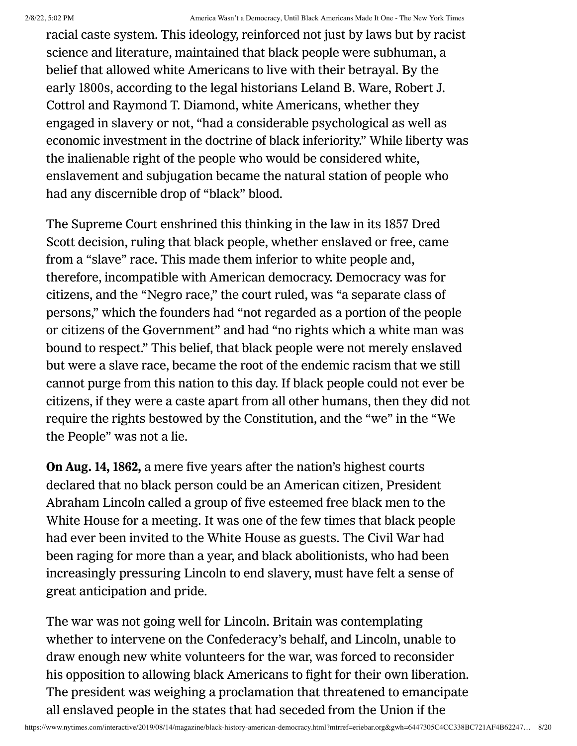Cottrol and Raymond T. Diamond, white Americans, whether they racial caste system. This ideology, reinforced not just by laws but by racist science and literature, maintained that black people were subhuman, a belief that allowed white Americans to live with their betrayal. By the early 1800s, according to the legal historians Leland B. Ware, Robert J. engaged in slavery or not, "had a considerable psychological as well as economic investment in the doctrine of black inferiority." While liberty was the inalienable right of the people who would be considered white, enslavement and subjugation became the natural station of people who had any discernible drop of "black" blood.

The Supreme Court enshrined this thinking in the law in its 1857 Dred Scott decision, ruling that black people, whether enslaved or free, came from a "slave" race. This made them inferior to white people and, therefore, incompatible with American democracy. Democracy was for citizens, and the "Negro race," the court ruled, was "a separate class of persons," which the founders had "not regarded as a portion of the people or citizens of the Government" and had "no rights which a white man was bound to respect." This belief, that black people were not merely enslaved but were a slave race, became the root of the endemic racism that we still cannot purge from this nation to this day. If black people could not ever be citizens, if they were a caste apart from all other humans, then they did not require the rights bestowed by the Constitution, and the "we" in the "We the People" was not a lie.

On Aug. 14, 1862, a mere five years after the nation's highest courts declared that no black person could be an American citizen, President Abraham Lincoln called a group of five esteemed free black men to the White House for a meeting. It was one of the few times that black people had ever been invited to the White House as guests. The Civil War had been raging for more than a year, and black abolitionists, who had been increasingly pressuring Lincoln to end slavery, must have felt a sense of great anticipation and pride.

The war was not going well for Lincoln. Britain was contemplating whether to intervene on the Confederacy's behalf, and Lincoln, unable to draw enough new white volunteers for the war, was forced to reconsider his opposition to allowing black Americans to fight for their own liberation. The president was weighing a proclamation that threatened to emancipate all enslaved people in the states that had seceded from the Union if the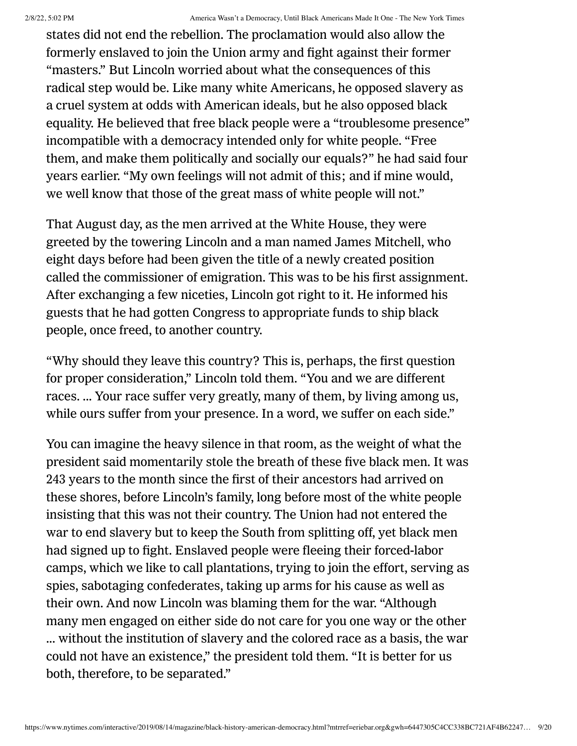a cruel system at odds with American ideals, but he also opposed black states did not end the rebellion. The proclamation would also allow the formerly enslaved to join the Union army and fight against their former "masters." But Lincoln worried about what the consequences of this radical step would be. Like many white Americans, he opposed slavery as equality. He believed that free black people were a "troublesome presence" incompatible with a democracy intended only for white people. "Free them, and make them politically and socially our equals?" he had said four years earlier. "My own feelings will not admit of this; and if mine would, we well know that those of the great mass of white people will not."

That August day, as the men arrived at the White House, they were greeted by the towering Lincoln and a man named James Mitchell, who eight days before had been given the title of a newly created position called the commissioner of emigration. This was to be his first assignment. After exchanging a few niceties, Lincoln got right to it. He informed his guests that he had gotten Congress to appropriate funds to ship black people, once freed, to another country.

"Why should they leave this country? This is, perhaps, the first question for proper consideration," Lincoln told them. "You and we are different races. ... Your race suffer very greatly, many of them, by living among us, while ours suffer from your presence. In a word, we suffer on each side."

You can imagine the heavy silence in that room, as the weight of what the president said momentarily stole the breath of these five black men. It was 243 years to the month since the first of their ancestors had arrived on these shores, before Lincoln's family, long before most of the white people insisting that this was not their country. The Union had not entered the war to end slavery but to keep the South from splitting off, yet black men had signed up to fight. Enslaved people were fleeing their forced-labor camps, which we like to call plantations, trying to join the effort, serving as spies, sabotaging confederates, taking up arms for his cause as well as their own. And now Lincoln was blaming them for the war. "Although many men engaged on either side do not care for you one way or the other ... without the institution of slavery and the colored race as a basis, the war could not have an existence," the president told them. "It is better for us both, therefore, to be separated."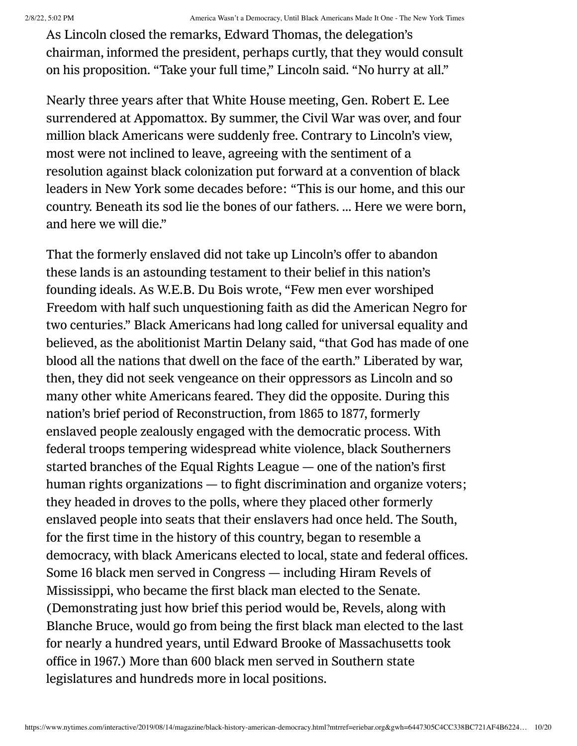As Lincoln closed the remarks, Edward Thomas, the delegation's chairman, informed the president, perhaps curtly, that they would consult on his proposition. "Take your full time," Lincoln said. "No hurry at all."

Nearly three years after that White House meeting, Gen. Robert E. Lee surrendered at Appomattox. By summer, the Civil War was over, and four million black Americans were suddenly free. Contrary to Lincoln's view, most were not inclined to leave, agreeing with the sentiment of a resolution against black colonization put forward at a convention of black leaders in New York some decades before: "This is our home, and this our country. Beneath its sod lie the bones of our fathers. ... Here we were born, and here we will die."

That the formerly enslaved did not take up Lincoln's offer to abandon these lands is an astounding testament to their belief in this nation's founding ideals. As W.E.B. Du Bois wrote, "Few men ever worshiped Freedom with half such unquestioning faith as did the American Negro for two centuries." Black Americans had long called for universal equality and believed, as the abolitionist Martin Delany said, "that God has made of one blood all the nations that dwell on the face of the earth." Liberated by war, then, they did not seek vengeance on their oppressors as Lincoln and so many other white Americans feared. They did the opposite. During this nation's brief period of Reconstruction, from 1865 to 1877, formerly enslaved people zealously engaged with the democratic process. With federal troops tempering widespread white violence, black Southerners started branches of the Equal Rights League — one of the nation's first human rights organizations — to fight discrimination and organize voters; they headed in droves to the polls, where they placed other formerly enslaved people into seats that their enslavers had once held. The South, for the first time in the history of this country, began to resemble a democracy, with black Americans elected to local, state and federal offices. Some 16 black men served in Congress — including Hiram Revels of Mississippi, who became the first black man elected to the Senate. (Demonstrating just how brief this period would be, Revels, along with Blanche Bruce, would go from being the first black man elected to the last for nearly a hundred years, until Edward Brooke of Massachusetts took office in 1967.) More than 600 black men served in Southern state legislatures and hundreds more in local positions.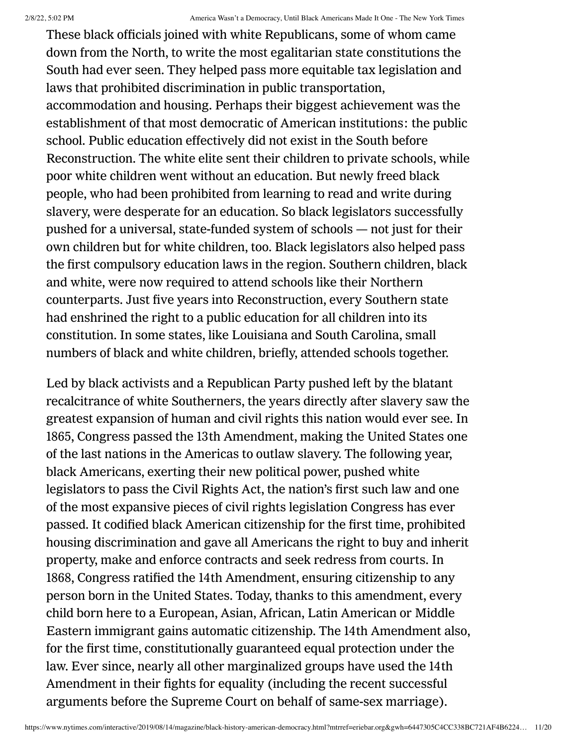accommodation and housing. Perhaps their biggest achievement was the These black officials joined with white Republicans, some of whom came down from the North, to write the most egalitarian state constitutions the South had ever seen. They helped pass more equitable tax legislation and laws that prohibited discrimination in public transportation, establishment of that most democratic of American institutions: the public school. Public education effectively did not exist in the South before Reconstruction. The white elite sent their children to private schools, while poor white children went without an education. But newly freed black people, who had been prohibited from learning to read and write during slavery, were desperate for an education. So black legislators successfully pushed for a universal, state-funded system of schools — not just for their own children but for white children, too. Black legislators also helped pass the first compulsory education laws in the region. Southern children, black and white, were now required to attend schools like their Northern counterparts. Just five years into Reconstruction, every Southern state had enshrined the right to a public education for all children into its

constitution. In some states, like Louisiana and South Carolina, small numbers of black and white children, briefly, attended schools together.

Led by black activists and a Republican Party pushed left by the blatant recalcitrance of white Southerners, the years directly after slavery saw the greatest expansion of human and civil rights this nation would ever see. In 1865, Congress passed the 13th Amendment, making the United States one of the last nations in the Americas to outlaw slavery. The following year, black Americans, exerting their new political power, pushed white legislators to pass the Civil Rights Act, the nation's first such law and one of the most expansive pieces of civil rights legislation Congress has ever passed. It codified black American citizenship for the first time, prohibited housing discrimination and gave all Americans the right to buy and inherit property, make and enforce contracts and seek redress from courts. In 1868, Congress ratified the 14th Amendment, ensuring citizenship to any person born in the United States. Today, thanks to this amendment, every child born here to a European, Asian, African, Latin American or Middle Eastern immigrant gains automatic citizenship. The 14th Amendment also, for the first time, constitutionally guaranteed equal protection under the law. Ever since, nearly all other marginalized groups have used the 14th Amendment in their fights for equality (including the recent successful arguments before the Supreme Court on behalf of same-sex marriage).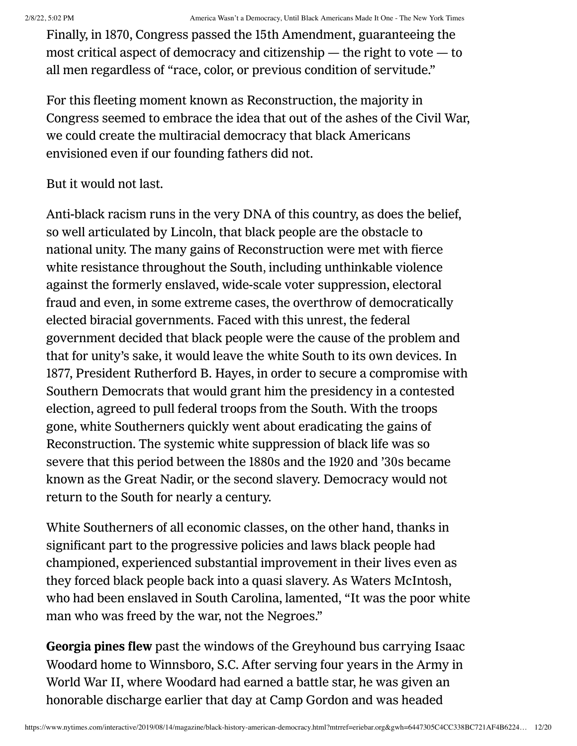Finally, in 1870, Congress passed the 15th Amendment, guaranteeing the most critical aspect of democracy and citizenship — the right to vote — to all men regardless of "race, color, or previous condition of servitude."

For this fleeting moment known as Reconstruction, the majority in Congress seemed to embrace the idea that out of the ashes of the Civil War, we could create the multiracial democracy that black Americans envisioned even if our founding fathers did not.

## But it would not last.

Anti-black racism runs in the very DNA of this country, as does the belief, so well articulated by Lincoln, that black people are the obstacle to [national unity. The many gains of Reconstruction were met with](https://www.nytimes.com/interactive/2019/08/14/magazine/republicans-racism-african-americans.html) fierce white resistance throughout the South, including unthinkable violence against the formerly enslaved, wide-scale voter suppression, electoral fraud and even, in some extreme cases, the overthrow of democratically elected biracial governments. Faced with this unrest, the federal government decided that black people were the cause of the problem and that for unity's sake, it would leave the white South to its own devices. In 1877, President Rutherford B. Hayes, in order to secure a compromise with Southern Democrats that would grant him the presidency in a contested election, agreed to pull federal troops from the South. With the troops gone, white Southerners quickly went about eradicating the gains of Reconstruction. The systemic white suppression of black life was so severe that this period between the 1880s and the 1920 and '30s became known as the Great Nadir, or the second slavery. Democracy would not return to the South for nearly a century.

White Southerners of all economic classes, on the other hand, thanks in significant part to the progressive policies and laws black people had championed, experienced substantial improvement in their lives even as they forced black people back into a quasi slavery. As Waters McIntosh, who had been enslaved in South Carolina, lamented, "It was the poor white man who was freed by the war, not the Negroes."

Georgia pines flew past the windows of the Greyhound bus carrying Isaac Woodard home to Winnsboro, S.C. After serving four years in the Army in World War II, where Woodard had earned a battle star, he was given an honorable discharge earlier that day at Camp Gordon and was headed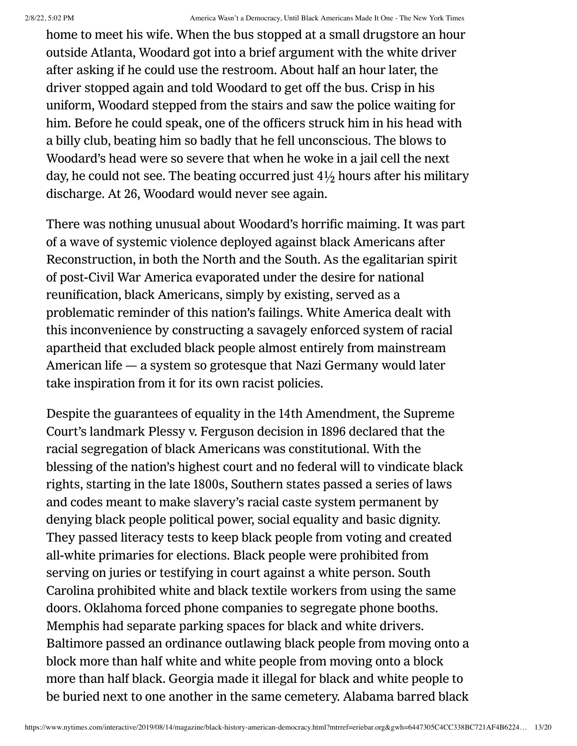2/8/22, 5:02 PM America Wasn't a Democracy, Until Black Americans Made It One - The New York Times

uniform, Woodard stepped from the stairs and saw the police waiting for home to meet his wife. When the bus stopped at a small drugstore an hour outside Atlanta, Woodard got into a brief argument with the white driver after asking if he could use the restroom. About half an hour later, the driver stopped again and told Woodard to get off the bus. Crisp in his him. Before he could speak, one of the officers struck him in his head with a billy club, beating him so badly that he fell unconscious. The blows to Woodard's head were so severe that when he woke in a jail cell the next day, he could not see. The beating occurred just  $4\frac{1}{2}$  hours after his military discharge. At 26, Woodard would never see again.

There was nothing unusual about Woodard's horrific maiming. It was part of a wave of systemic violence deployed against black Americans after Reconstruction, in both the North and the South. As the egalitarian spirit of post-Civil War America evaporated under the desire for national reunification, black Americans, simply by existing, served as a problematic reminder of this nation's failings. White America dealt with this inconvenience by constructing a savagely enforced system of racial apartheid that excluded black people almost entirely from mainstream American life — a system so grotesque that Nazi Germany would later take inspiration from it for its own racist policies.

Despite the guarantees of equality in the 14th Amendment, the Supreme Court's landmark Plessy v. Ferguson decision in 1896 declared that the racial segregation of black Americans was constitutional. With the blessing of the nation's highest court and no federal will to vindicate black rights, starting in the late 1800s, Southern states passed a series of laws and codes meant to make slavery's racial caste system permanent by denying black people political power, social equality and basic dignity. They passed literacy tests to keep black people from voting and created all-white primaries for elections. Black people were prohibited from serving on juries or testifying in court against a white person. South Carolina prohibited white and black textile workers from using the same doors. Oklahoma forced phone companies to segregate phone booths. Memphis had separate parking spaces for black and white drivers. Baltimore passed an ordinance outlawing black people from moving onto a block more than half white and white people from moving onto a block more than half black. Georgia made it illegal for black and white people to be buried next to one another in the same cemetery. Alabama barred black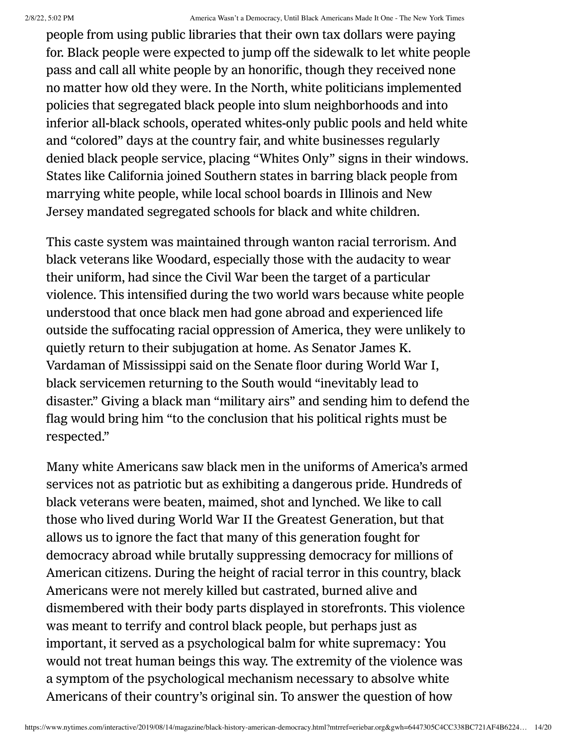policies that segregated black people into slum neighborhoods and into people from using public libraries that their own tax dollars were paying for. Black people were expected to jump off the sidewalk to let white people pass and call all white people by an honorific, though they received none no matter how old they were. In the North, white politicians implemented inferior all-black schools, operated whites-only public pools and held white and "colored" days at the country fair, and white businesses regularly denied black people service, placing "Whites Only" signs in their windows. States like California joined Southern states in barring black people from marrying white people, while local school boards in Illinois and New Jersey mandated segregated schools for black and white children.

This caste system was maintained through wanton racial terrorism. And black veterans like Woodard, especially those with the audacity to wear their uniform, had since the Civil War been the target of a particular violence. This intensified during the two world wars because white people understood that once black men had gone abroad and experienced life outside the suffocating racial oppression of America, they were unlikely to quietly return to their subjugation at home. As Senator James K. Vardaman of Mississippi said on the Senate floor during World War I, black servicemen returning to the South would "inevitably lead to disaster." Giving a black man "military airs" and sending him to defend the flag would bring him "to the conclusion that his political rights must be respected."

Many white Americans saw black men in the uniforms of America's armed services not as patriotic but as exhibiting a dangerous pride. Hundreds of black veterans were beaten, maimed, shot and lynched. We like to call those who lived during World War II the Greatest Generation, but that allows us to ignore the fact that many of this generation fought for democracy abroad while brutally suppressing democracy for millions of American citizens. During the height of racial terror in this country, black Americans were not merely killed but castrated, burned alive and dismembered with their body parts displayed in storefronts. This violence was meant to terrify and control black people, but perhaps just as important, it served as a psychological balm for white supremacy: You would not treat human beings this way. The extremity of the violence was a symptom of the psychological mechanism necessary to absolve white Americans of their country's original sin. To answer the question of how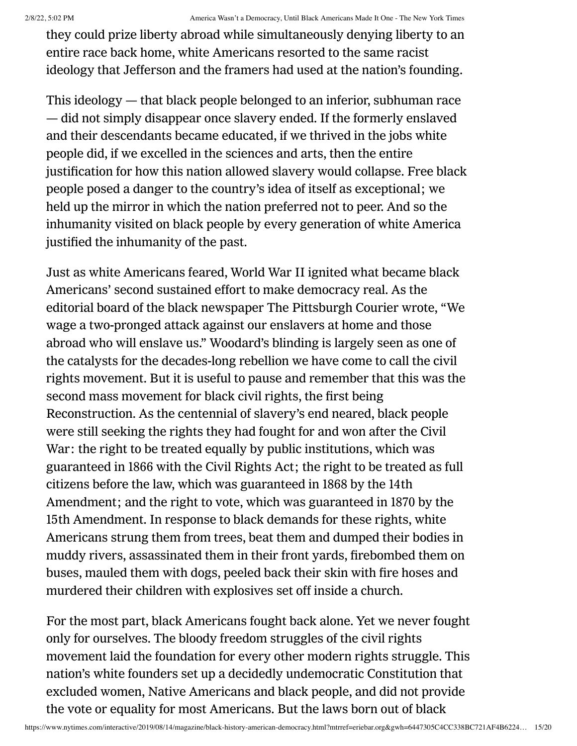they could prize liberty abroad while simultaneously denying liberty to an entire race back home, white Americans resorted to the same racist ideology that Jefferson and the framers had used at the nation's founding.

This ideology  $-$  that black people belonged to an inferior, subhuman race — did not simply disappear once slavery ended. If the formerly enslaved and their descendants became educated, if we thrived in the jobs white people did, if we excelled in the sciences and arts, then the entire justification for how this nation allowed slavery would collapse. Free black people posed a danger to the country's idea of itself as exceptional; we held up the mirror in which the nation preferred not to peer. And so the inhumanity visited on black people by every generation of white America justified the inhumanity of the past.

Just as white Americans feared, World War II ignited what became black Americans' second sustained effort to make democracy real. As the editorial board of the black newspaper The Pittsburgh Courier wrote, "We wage a two-pronged attack against our enslavers at home and those abroad who will enslave us." Woodard's blinding is largely seen as one of the catalysts for the decades-long rebellion we have come to call the civil rights movement. But it is useful to pause and remember that this was the second mass movement for black civil rights, the first being Reconstruction. As the centennial of slavery's end neared, black people were still seeking the rights they had fought for and won after the Civil War: the right to be treated equally by public institutions, which was guaranteed in 1866 with the Civil Rights Act; the right to be treated as full citizens before the law, which was guaranteed in 1868 by the 14th Amendment; and the right to vote, which was guaranteed in 1870 by the 15th Amendment. In response to black demands for these rights, white Americans strung them from trees, beat them and dumped their bodies in muddy rivers, assassinated them in their front yards, firebombed them on buses, mauled them with dogs, peeled back their skin with fire hoses and murdered their children with explosives set off inside a church.

For the most part, black Americans fought back alone. Yet we never fought only for ourselves. The bloody freedom struggles of the civil rights movement laid the foundation for every other modern rights struggle. This nation's white founders set up a decidedly undemocratic Constitution that excluded women, Native Americans and black people, and did not provide the vote or equality for most Americans. But the laws born out of black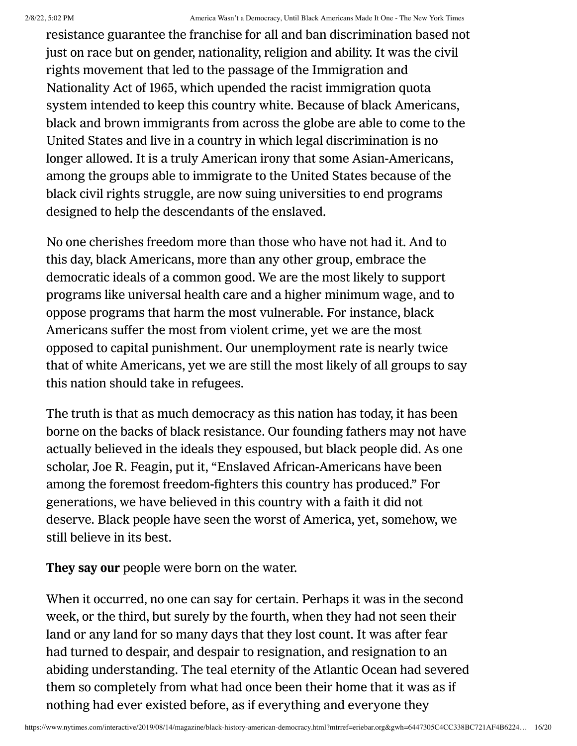system intended to keep this country white. Because of black Americans, resistance guarantee the franchise for all and ban discrimination based not just on race but on gender, nationality, religion and ability. It was the civil rights movement that led to the passage of the Immigration and Nationality Act of 1965, which upended the racist immigration quota black and brown immigrants from across the globe are able to come to the United States and live in a country in which legal discrimination is no longer allowed. It is a truly American irony that some Asian-Americans, among the groups able to immigrate to the United States because of the black civil rights struggle, are now suing universities to end programs designed to help the descendants of the enslaved.

No one cherishes freedom more than those who have not had it. And to this day, black Americans, more than any other group, embrace the democratic ideals of a common good. We are the most likely to support programs like universal health care and a higher minimum wage, and to oppose programs that harm the most vulnerable. For instance, black Americans suffer the most from violent crime, yet we are the most opposed to capital punishment. Our unemployment rate is nearly twice that of white Americans, yet we are still the most likely of all groups to say this nation should take in refugees.

The truth is that as much democracy as this nation has today, it has been borne on the backs of black resistance. Our founding fathers may not have actually believed in the ideals they espoused, but black people did. As one scholar, Joe R. Feagin, put it, "Enslaved African-Americans have been among the foremost freedom-fighters this country has produced." For generations, we have believed in this country with a faith it did not deserve. Black people have seen the worst of America, yet, somehow, we still believe in its best.

They say our people were born on the water.

When it occurred, no one can say for certain. Perhaps it was in the second week, or the third, but surely by the fourth, when they had not seen their land or any land for so many days that they lost count. It was after fear had turned to despair, and despair to resignation, and resignation to an abiding understanding. The teal eternity of the Atlantic Ocean had severed them so completely from what had once been their home that it was as if nothing had ever existed before, as if everything and everyone they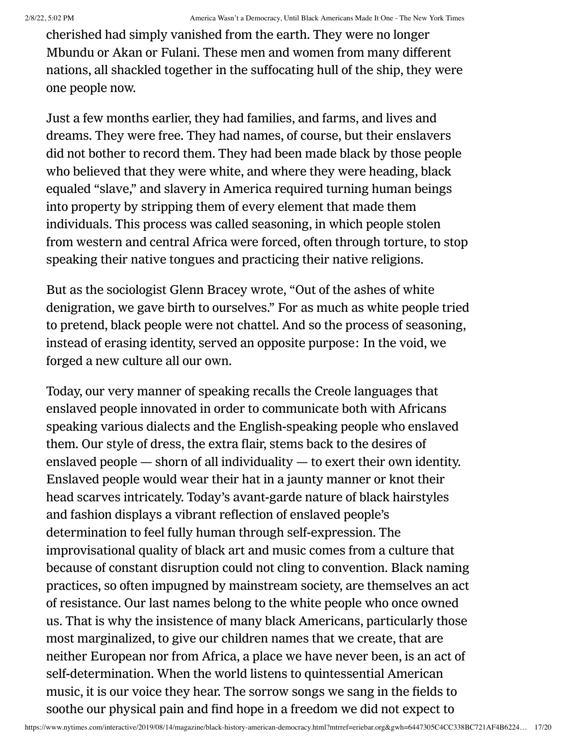cherished had simply vanished from the earth. They were no longer Mbundu or Akan or Fulani. These men and women from many different nations, all shackled together in the suffocating hull of the ship, they were one people now.

Just a few months earlier, they had families, and farms, and lives and dreams. They were free. They had names, of course, but their enslavers did not bother to record them. They had been made black by those people who believed that they were white, and where they were heading, black equaled "slave," and slavery in America required turning human beings into property by stripping them of every element that made them individuals. This process was called seasoning, in which people stolen from western and central Africa were forced, often through torture, to stop speaking their native tongues and practicing their native religions.

But as the sociologist Glenn Bracey wrote, "Out of the ashes of white denigration, we gave birth to ourselves." For as much as white people tried to pretend, black people were not chattel. And so the process of seasoning, instead of erasing identity, served an opposite purpose: In the void, we forged a new culture all our own.

Today, our very manner of speaking recalls the Creole languages that enslaved people innovated in order to communicate both with Africans speaking various dialects and the English-speaking people who enslaved them. Our style of dress, the extra flair, stems back to the desires of enslaved people — shorn of all individuality — to exert their own identity. Enslaved people would wear their hat in a jaunty manner or knot their head scarves intricately. Today's avant-garde nature of black hairstyles and fashion displays a vibrant reflection of enslaved people's [determination to feel fully human through self-expression.](https://www.nytimes.com/interactive/2019/08/14/magazine/music-black-culture-appropriation.html)  The improvisational quality of black art and music comes from a culture that because of constant disruption could not cling to convention. Black naming practices, so often impugned by mainstream society, are themselves an act of resistance. Our last names belong to the white people who once owned us. That is why the insistence of many black Americans, particularly those most marginalized, to give our children names that we create, that are neither European nor from Africa, a place we have never been, is an act of self-determination. When the world listens to quintessential American music, it is our voice they hear. The sorrow songs we sang in the fields to soothe our physical pain and find hope in a freedom we did not expect to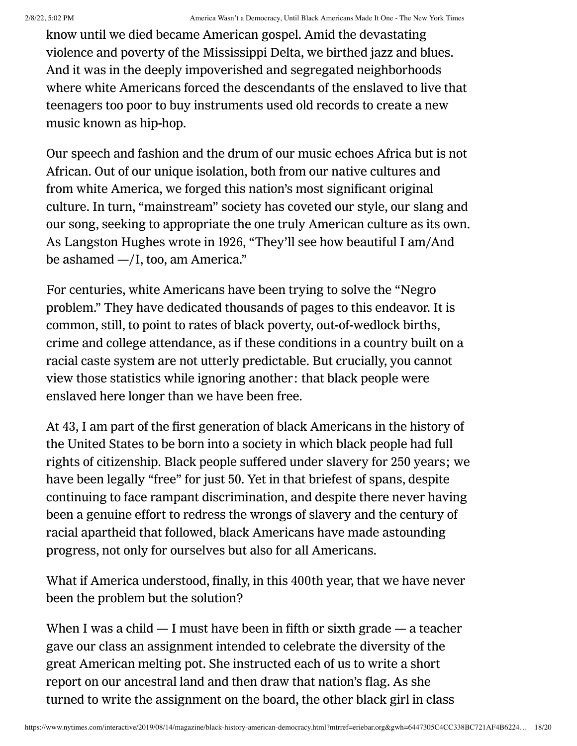teenagers too poor to buy instruments used old records to create a new know until we died became American gospel. Amid the devastating violence and poverty of the Mississippi Delta, we birthed jazz and blues. And it was in the deeply impoverished and segregated neighborhoods where white Americans forced the descendants of the enslaved to live that music known as hip-hop.

Our speech and fashion and the drum of our music echoes Africa but is not African. Out of our unique isolation, both from our native cultures and from white America, we forged this nation's most significant original culture. In turn, "mainstream" society has coveted our style, our slang and our song, seeking to appropriate the one truly American culture as its own. As Langston Hughes wrote in 1926, "They'll see how beautiful I am/And be ashamed —/I, too, am America."

For centuries, white Americans have been trying to solve the "Negro problem." They have dedicated thousands of pages to this endeavor. It is common, still, to point to rates of black poverty, out-of-wedlock births, crime and college attendance, as if these conditions in a country built on a racial caste system are not utterly predictable. But crucially, you cannot view those statistics while ignoring another: that black people were enslaved here longer than we have been free.

At 43, I am part of the first generation of black Americans in the history of the United States to be born into a society in which black people had full rights of citizenship. Black people suffered under slavery for 250 years; we have been legally "free" for just 50. Yet in that briefest of spans, despite continuing to face rampant discrimination, and despite there never having been a genuine effort to redress the wrongs of slavery and the century of racial apartheid that followed, black Americans have made astounding progress, not only for ourselves but also for all Americans.

What if America understood, finally, in this 400th year, that we have never been the problem but the solution?

When I was a child  $-$  I must have been in fifth or sixth grade  $-$  a teacher gave our class an assignment intended to celebrate the diversity of the great American melting pot. She instructed each of us to write a short report on our ancestral land and then draw that nation's flag. As she turned to write the assignment on the board, the other black girl in class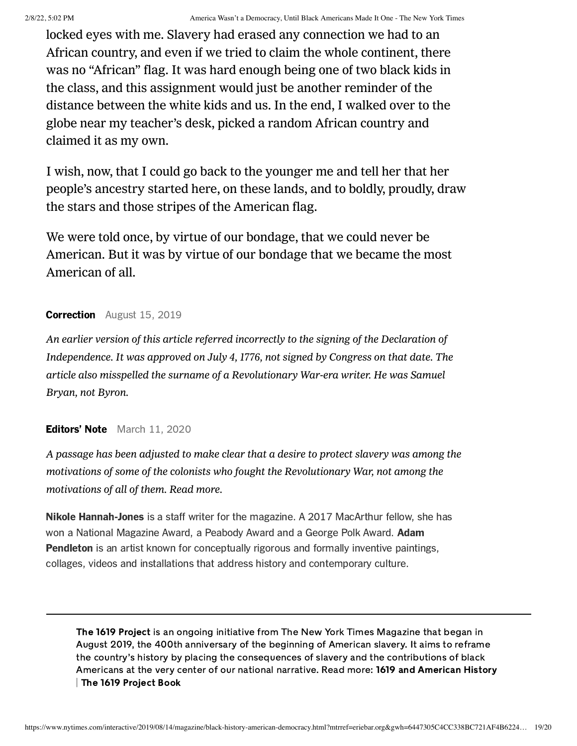distance between the white kids and us. In the end, I walked over to the locked eyes with me. Slavery had erased any connection we had to an African country, and even if we tried to claim the whole continent, there was no "African" flag. It was hard enough being one of two black kids in the class, and this assignment would just be another reminder of the globe near my teacher's desk, picked a random African country and claimed it as my own.

I wish, now, that I could go back to the younger me and tell her that her people's ancestry started here, on these lands, and to boldly, proudly, draw the stars and those stripes of the American flag.

We were told once, by virtue of our bondage, that we could never be American. But it was by virtue of our bondage that we became the most American of all.

## **Correction** August 15, 2019

*An earlier version of this article referred incorrectly to the signing of the Declaration of Independence. It was approved on July 4, 1776, not signed by Congress on that date. The article also misspelled the surname of a Revolutionary War-era writer. He was Samuel Bryan, not Byron.*

## Editors' Note March 11, 2020

*A passage has been adjusted to make clear that a desire to protect slavery was among the motivations of some of the colonists who fought the Revolutionary War, not among the motivations of all of them. [Read more.](https://www.nytimes.com/2020/03/11/magazine/an-update-to-the-1619-project.html)*

Nikole Hannah-Jones is a staff writer for the magazine. A 2017 MacArthur fellow, she has won a National Magazine Award, a Peabody Award and a George Polk Award. Adam **Pendleton** is an artist known for conceptually rigorous and formally inventive paintings, collages, videos and installations that address history and contemporary culture.

The 1619 [Project](https://www.nytimes.com/interactive/2019/08/14/magazine/1619-america-slavery.html) is an ongoing initiative from The New York Times Magazine that began in August 2019, the 400th anniversary of the beginning of American slavery. It aims to reframe the country's history by placing the consequences of slavery and the contributions of black [American](https://www.nytimes.com/2021/11/09/magazine/1619-project-us-history.html)s at the very center of our national narrative. Read more: 1619 and American History | The 1619 [Project](https://1619books.com/) Book